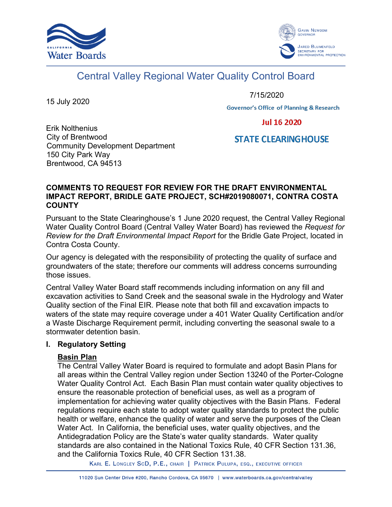



# Central Valley Regional Water Quality Control Board

15 July 2020

7/15/2020

**Governor's Office of Planning & Research** 

**Jul 16 2020** 

# **STATE CLEARINGHOUSE**

Erik Nolthenius City of Brentwood Community Development Department 150 City Park Way Brentwood, CA 94513

#### **COMMENTS TO REQUEST FOR REVIEW FOR THE DRAFT ENVIRONMENTAL IMPACT REPORT, BRIDLE GATE PROJECT, SCH#2019080071, CONTRA COSTA COUNTY**

Pursuant to the State Clearinghouse's 1 June 2020 request, the Central Valley Regional Water Quality Control Board (Central Valley Water Board) has reviewed the *Request for Review for the Draft Environmental Impact Report* for the Bridle Gate Project, located in Contra Costa County.

Our agency is delegated with the responsibility of protecting the quality of surface and groundwaters of the state; therefore our comments will address concerns surrounding those issues.

Central Valley Water Board staff recommends including information on any fill and excavation activities to Sand Creek and the seasonal swale in the Hydrology and Water Quality section of the Final EIR. Please note that both fill and excavation impacts to waters of the state may require coverage under a 401 Water Quality Certification and/or a Waste Discharge Requirement permit, including converting the seasonal swale to a stormwater detention basin.

#### **I. Regulatory Setting**

### **Basin Plan**

The Central Valley Water Board is required to formulate and adopt Basin Plans for all areas within the Central Valley region under Section 13240 of the Porter-Cologne Water Quality Control Act. Each Basin Plan must contain water quality objectives to ensure the reasonable protection of beneficial uses, as well as a program of implementation for achieving water quality objectives with the Basin Plans. Federal regulations require each state to adopt water quality standards to protect the public health or welfare, enhance the quality of water and serve the purposes of the Clean Water Act. In California, the beneficial uses, water quality objectives, and the Antidegradation Policy are the State's water quality standards. Water quality standards are also contained in the National Toxics Rule, 40 CFR Section 131.36, and the California Toxics Rule, 40 CFR Section 131.38.

KARL E. LONGLEY SCD, P.E., CHAIR | PATRICK PULUPA, ESQ., EXECUTIVE OFFICER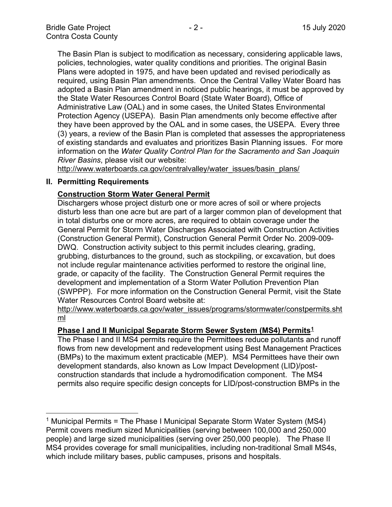The Basin Plan is subject to modification as necessary, considering applicable laws, policies, technologies, water quality conditions and priorities. The original Basin Plans were adopted in 1975, and have been updated and revised periodically as required, using Basin Plan amendments. Once the Central Valley Water Board has adopted a Basin Plan amendment in noticed public hearings, it must be approved by the State Water Resources Control Board (State Water Board), Office of Administrative Law (OAL) and in some cases, the United States Environmental Protection Agency (USEPA). Basin Plan amendments only become effective after they have been approved by the OAL and in some cases, the USEPA. Every three (3) years, a review of the Basin Plan is completed that assesses the appropriateness of existing standards and evaluates and prioritizes Basin Planning issues. For more information on the *Water Quality Control Plan for the Sacramento and San Joaquin River Basins*, please visit our website:

[http://www.waterboards.ca.gov/centralvalley/water\\_issues/basin\\_plans/](http://www.waterboards.ca.gov/centralvalley/water_issues/basin_plans/)

#### **II. Permitting Requirements**

#### **Construction Storm Water General Permit**

Dischargers whose project disturb one or more acres of soil or where projects disturb less than one acre but are part of a larger common plan of development that in total disturbs one or more acres, are required to obtain coverage under the General Permit for Storm Water Discharges Associated with Construction Activities (Construction General Permit), Construction General Permit Order No. 2009-009- DWQ. Construction activity subject to this permit includes clearing, grading, grubbing, disturbances to the ground, such as stockpiling, or excavation, but does not include regular maintenance activities performed to restore the original line, grade, or capacity of the facility. The Construction General Permit requires the development and implementation of a Storm Water Pollution Prevention Plan (SWPPP). For more information on the Construction General Permit, visit the State Water Resources Control Board website at:

[http://www.waterboards.ca.gov/water\\_issues/programs/stormwater/constpermits.sht](http://www.waterboards.ca.gov/water_issues/programs/stormwater/constpermits.shtml) [ml](http://www.waterboards.ca.gov/water_issues/programs/stormwater/constpermits.shtml)

#### **Phase I and II Municipal Separate Storm Sewer System (MS4) Permits[1](#page-2-0)**

The Phase I and II MS4 permits require the Permittees reduce pollutants and runoff flows from new development and redevelopment using Best Management Practices (BMPs) to the maximum extent practicable (MEP). MS4 Permittees have their own development standards, also known as Low Impact Development (LID)/postconstruction standards that include a hydromodification component. The MS4 permits also require specific design concepts for LID/post-construction BMPs in the

<sup>&</sup>lt;sup>1</sup> Municipal Permits = The Phase I Municipal Separate Storm Water System (MS4) Permit covers medium sized Municipalities (serving between 100,000 and 250,000 people) and large sized municipalities (serving over 250,000 people). The Phase II MS4 provides coverage for small municipalities, including non-traditional Small MS4s, which include military bases, public campuses, prisons and hospitals.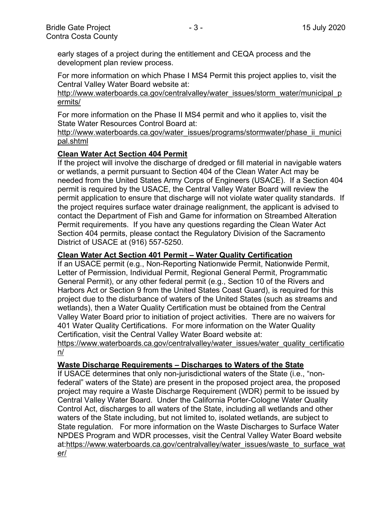early stages of a project during the entitlement and CEQA process and the development plan review process.

For more information on which Phase I MS4 Permit this project applies to, visit the Central Valley Water Board website at:

http://www.waterboards.ca.gov/centralvalley/water\_issues/storm\_water/municipal\_p ermits/

For more information on the Phase II MS4 permit and who it applies to, visit the State Water Resources Control Board at:

http://www.waterboards.ca.gov/water\_issues/programs/stormwater/phase\_ii\_munici pal.shtml

#### **Clean Water Act Section 404 Permit**

If the project will involve the discharge of dredged or fill material in navigable waters or wetlands, a permit pursuant to Section 404 of the Clean Water Act may be needed from the United States Army Corps of Engineers (USACE). If a Section 404 permit is required by the USACE, the Central Valley Water Board will review the permit application to ensure that discharge will not violate water quality standards. If the project requires surface water drainage realignment, the applicant is advised to contact the Department of Fish and Game for information on Streambed Alteration Permit requirements. If you have any questions regarding the Clean Water Act Section 404 permits, please contact the Regulatory Division of the Sacramento District of USACE at (916) 557-5250.

#### **Clean Water Act Section 401 Permit – Water Quality Certification**

If an USACE permit (e.g., Non-Reporting Nationwide Permit, Nationwide Permit, Letter of Permission, Individual Permit, Regional General Permit, Programmatic General Permit), or any other federal permit (e.g., Section 10 of the Rivers and Harbors Act or Section 9 from the United States Coast Guard), is required for this project due to the disturbance of waters of the United States (such as streams and wetlands), then a Water Quality Certification must be obtained from the Central Valley Water Board prior to initiation of project activities. There are no waivers for 401 Water Quality Certifications. For more information on the Water Quality Certification, visit the Central Valley Water Board website at:

https://www.waterboards.ca.gov/centralvalley/water\_issues/water\_quality\_certificatio n/

#### **Waste Discharge Requirements – Discharges to Waters of the State**

<span id="page-2-0"></span>If USACE determines that only non-jurisdictional waters of the State (i.e., "nonfederal" waters of the State) are present in the proposed project area, the proposed project may require a Waste Discharge Requirement (WDR) permit to be issued by Central Valley Water Board. Under the California Porter-Cologne Water Quality Control Act, discharges to all waters of the State, including all wetlands and other waters of the State including, but not limited to, isolated wetlands, are subject to State regulation. For more information on the Waste Discharges to Surface Water NPDES Program and WDR processes, visit the Central Valley Water Board website at:https://www.waterboards.ca.gov/centralvalley/water\_issues/waste\_to\_surface\_wat er/